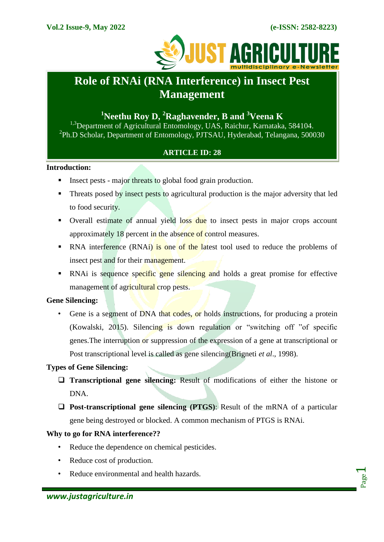

# **Role of RNAi (RNA Interference) in Insect Pest Management**

## **<sup>1</sup>Neethu Roy D, <sup>2</sup>Raghavender, B and <sup>3</sup>Veena K**

<sup>1,3</sup>Department of Agricultural Entomology, UAS, Raichur, Karnataka, 584104. 2 Ph.D Scholar, Department of Entomology, PJTSAU, Hyderabad, Telangana, 500030

## **ARTICLE ID: 28**

#### **Introduction:**

- Insect pests major threats to global food grain production.
- Threats posed by insect pests to agricultural production is the major adversity that led to food security.
- Overall estimate of annual yield loss due to insect pests in major crops account approximately 18 percent in the absence of control measures.
- RNA interference (RNAi) is one of the latest tool used to reduce the problems of insect pest and for their management.
- RNAi is sequence specific gene silencing and holds a great promise for effective management of agricultural crop pests.

## **Gene Silencing:**

• Gene is a segment of DNA that codes, or holds instructions, for producing a protein (Kowalski, 2015). Silencing is down regulation or "switching off "of specific genes.The interruption or suppression of the expression of a gene at transcriptional or Post transcriptional level is called as gene silencing(Brigneti *et al*., 1998).

## **Types of Gene Silencing:**

- **Transcriptional gene silencing:** Result of modifications of either the histone or DNA.
- **Post-transcriptional gene silencing (PTGS)**: Result of the mRNA of a particular gene being destroyed or blocked. A common mechanism of PTGS is RNAi.

## **Why to go for RNA interference??**

- Reduce the dependence on chemical pesticides.
- Reduce cost of production.
- Reduce environmental and health hazards.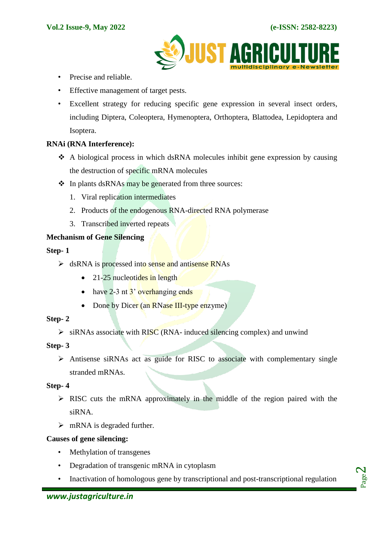

- Precise and reliable.
- Effective management of target pests.
- Excellent strategy for reducing specific gene expression in several insect orders, including Diptera, Coleoptera, Hymenoptera, Orthoptera, Blattodea, Lepidoptera and Isoptera.

## **RNAi (RNA Interference):**

- A biological process in which dsRNA molecules inhibit gene expression by causing the destruction of specific mRNA molecules
- ❖ In plants dsRNAs may be generated from three sources:
	- 1. Viral replication intermediates
	- 2. Products of the endogenous RNA-directed RNA polymerase
	- 3. Transcribed inverted repeats

## **Mechanism of Gene Silencing**

#### **Step- 1**

- $\triangleright$  dsRNA is processed into sense and antisense RNAs
	- $\bullet$  21-25 nucleotides in length
	- $\bullet$  have 2-3 nt  $3'$  overhanging ends
	- Done by Dicer (an RNase III-type enzyme)

## **Step- 2**

 $\triangleright$  siRNAs associate with RISC (RNA- induced silencing complex) and unwind

## **Step- 3**

 $\triangleright$  Antisense siRNAs act as guide for RISC to associate with complementary single stranded mRNAs.

## **Step- 4**

- $\triangleright$  RISC cuts the mRNA approximately in the middle of the region paired with the siRNA.
- $\triangleright$  mRNA is degraded further.

## **Causes of gene silencing:**

- Methylation of transgenes
- Degradation of transgenic mRNA in cytoplasm
- Inactivation of homologous gene by transcriptional and post-transcriptional regulation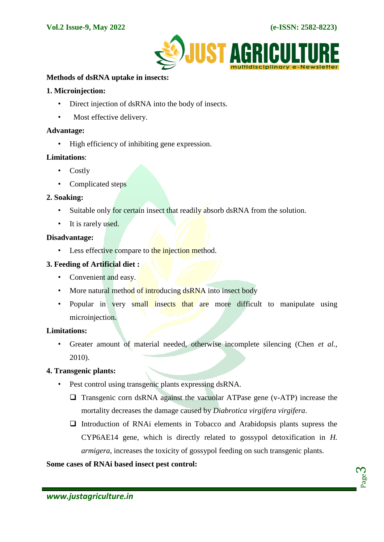

#### **Methods of dsRNA uptake in insects:**

#### **1. Microinjection:**

- Direct injection of dsRNA into the body of insects.
- Most effective delivery.

#### **Advantage:**

• High efficiency of inhibiting gene expression.

#### **Limitations**:

- Costly
- Complicated steps

#### **2. Soaking:**

- Suitable only for certain insect that readily absorb dsRNA from the solution.
- It is rarely used.

#### **Disadvantage:**

• Less effective compare to the injection method.

#### **3. Feeding of Artificial diet :**

- Convenient and easy.
- More natural method of introducing dsRNA into insect body
- Popular in very small insects that are more difficult to manipulate using microinjection.

## **Limitations:**

• Greater amount of material needed, otherwise incomplete silencing (Chen *et al.,*  2010).

#### **4. Transgenic plants:**

- Pest control using transgenic plants expressing dsRNA.
	- $\Box$  Transgenic corn dsRNA against the vacuolar ATPase gene (v-ATP) increase the mortality decreases the damage caused by *Diabrotica virgifera virgifera*.
	- $\Box$  Introduction of RNAi elements in Tobacco and Arabidopsis plants supress the CYP6AE14 gene, which is directly related to gossypol detoxification in *H. armigera*, increases the toxicity of gossypol feeding on such transgenic plants.

#### **Some cases of RNAi based insect pest control:**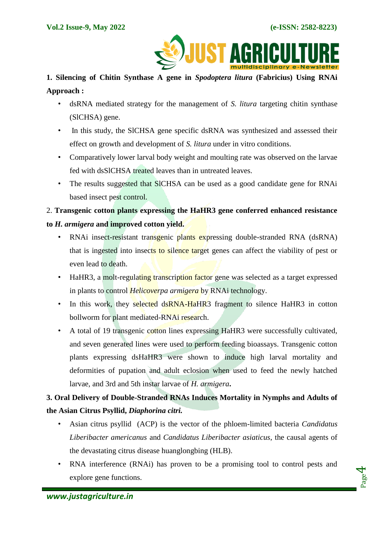

## **1. Silencing of Chitin Synthase A gene in** *Spodoptera litura* **(Fabricius) Using RNAi Approach :**

- dsRNA mediated strategy for the management of *S. litura* targeting chitin synthase (SlCHSA) gene.
- In this study, the SICHSA gene specific dsRNA was synthesized and assessed their effect on growth and development of *S. litura* under in vitro conditions.
- Comparatively lower larval body weight and moulting rate was observed on the larvae fed with dsSlCHSA treated leaves than in untreated leaves.
- The results suggested that SICHSA can be used as a good candidate gene for RNAi based insect pest control.

## 2. **Transgenic cotton plants expressing the HaHR3 gene conferred enhanced resistance to** *H. armigera* **and improved cotton yield.**

- RNAi insect-resistant transgenic plants expressing double-stranded RNA (dsRNA) that is ingested into insects to silence target genes can affect the viability of pest or even lead to death.
- HaHR3, a molt-regulating transcription factor gene was selected as a target expressed in plants to control *Helicoverpa armigera* by RNAi technology.
- In this work, they selected dsRNA-HaHR3 fragment to silence HaHR3 in cotton bollworm for plant mediated-RNAi research.
- A total of 19 transgenic cotton lines expressing HaHR3 were successfully cultivated, and seven generated lines were used to perform feeding bioassays. Transgenic cotton plants expressing dsHaHR3 were shown to induce high larval mortality and deformities of pupation and adult eclosion when used to feed the newly hatched larvae, and 3rd and 5th instar larvae of *H. armigera***.**

## **3. Oral Delivery of Double-Stranded RNAs Induces Mortality in Nymphs and Adults of the Asian Citrus Psyllid,** *Diaphorina citri.*

- Asian citrus psyllid (ACP) is the vector of the phloem-limited bacteria *Candidatus Liberibacter americanus* and *Candidatus Liberibacter asiaticus*, the causal agents of the devastating citrus disease huanglongbing (HLB).
- RNA interference (RNAi) has proven to be a promising tool to control pests and explore gene functions.

Page 4